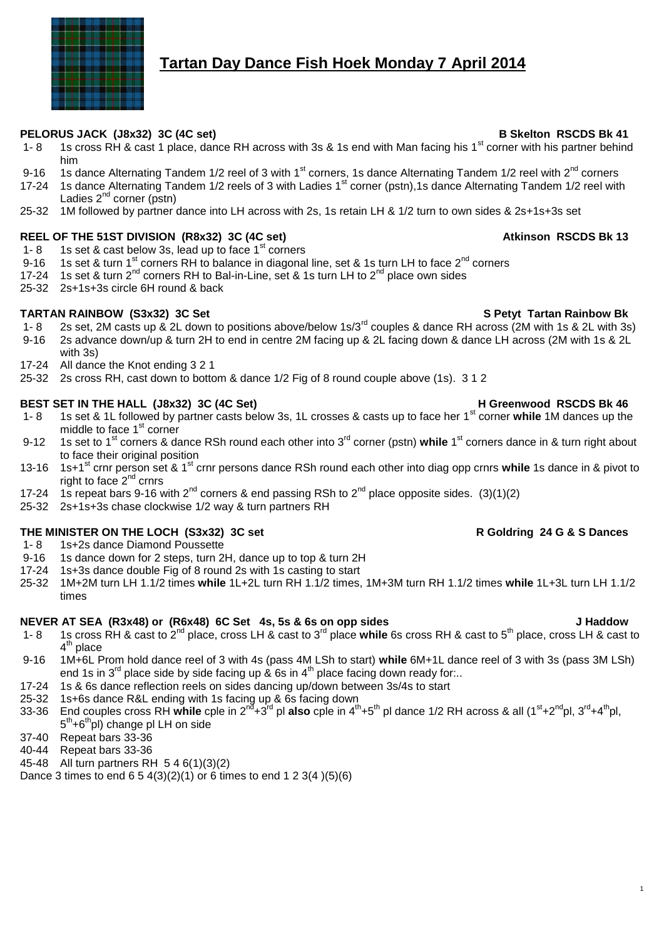# **Tartan Day Dance Fish Hoek Monday 7 April 2014**

### **PELORUS JACK (J8x32) 3C (4C set) B Skelton RSCDS Bk 41**

- 1- 8 1s cross RH & cast 1 place, dance RH across with 3s & 1s end with Man facing his 1<sup>st</sup> corner with his partner behind him
- 9-16 1s dance Alternating Tandem 1/2 reel of 3 with 1st corners, 1s dance Alternating Tandem 1/2 reel with  $2^{nd}$  corners
- 17-24 1s dance Alternating Tandem 1/2 reels of 3 with Ladies 1<sup>st</sup> corner (pstn), 1s dance Alternating Tandem 1/2 reel with Ladies  $2^{nd}$  corner (pstn)
- 25-32 1M followed by partner dance into LH across with 2s, 1s retain LH & 1/2 turn to own sides & 2s+1s+3s set

### **REEL OF THE 51ST DIVISION (R8x32) 3C (4C set) Atkinson RSCDS Bk 13**

- 1- 8 1s set & cast below 3s, lead up to face  $1^{\text{st}}$  corners 9-16 1s set & turn  $1^{\text{st}}$  corners RH to balance in diagonal
- 1s set & turn 1<sup>st</sup> corners RH to balance in diagonal line, set & 1s turn LH to face  $2^{nd}$  corners
- 17-24 1s set & turn  $2^{nd}$  corners RH to Bal-in-Line, set & 1s turn LH to  $2^{nd}$  place own sides
- 25-32 2s+1s+3s circle 6H round & back

### **TARTAN RAINBOW (S3x32) 3C Set S Petyt Tartan Rainbow Bk**

- 1- 8 2s set, 2M casts up & 2L down to positions above/below 1s/3<sup>rd</sup> couples & dance RH across (2M with 1s & 2L with 3s)<br>9-16 2s advance down/up & turn 2H to end in centre 2M facing up & 2L facing down & dance LH across (2
- 2s advance down/up & turn 2H to end in centre 2M facing up & 2L facing down & dance LH across (2M with 1s & 2L
- with 3s)
- 17-24 All dance the Knot ending 3 2 1
- 25-32 2s cross RH, cast down to bottom & dance 1/2 Fig of 8 round couple above (1s). 3 1 2

### BEST SET IN THE HALL (J8x32) 3C (4C Set) **H** Greenwood RSCDS Bk 46

- 1- 8 1s set & 1L followed by partner casts below 3s, 1L crosses & casts up to face her 1st corner **while** 1M dances up the middle to face  $1<sup>st</sup>$  corner
- 9-12 1s set to 1<sup>st</sup> corners & dance RSh round each other into 3<sup>rd</sup> corner (pstn) while 1<sup>st</sup> corners dance in & turn right about to face their original position
- 13-16 1s+1st crnr person set & 1st crnr persons dance RSh round each other into diag opp crnrs **while** 1s dance in & pivot to right to face  $2^{nd}$  crnrs
- 17-24 1s repeat bars 9-16 with  $2^{nd}$  corners & end passing RSh to  $2^{nd}$  place opposite sides. (3)(1)(2)
- 25-32 2s+1s+3s chase clockwise 1/2 way & turn partners RH

### **THE MINISTER ON THE LOCH (S3x32) 3C set R Goldring 24 G & S Dances**

- 1- 8 1s+2s dance Diamond Poussette
- 9-16 1s dance down for 2 steps, turn 2H, dance up to top & turn 2H
- 17-24 1s+3s dance double Fig of 8 round 2s with 1s casting to start
- 25-32 1M+2M turn LH 1.1/2 times **while** 1L+2L turn RH 1.1/2 times, 1M+3M turn RH 1.1/2 times **while** 1L+3L turn LH 1.1/2 times

### **NEVER AT SEA (R3x48) or (R6x48) 6C Set 4s, 5s & 6s on opp sides J Haddow**

- 1- 8 1s cross RH & cast to 2nd place, cross LH & cast to 3rd place **while** 6s cross RH & cast to 5th place, cross LH & cast to 4<sup>th</sup> place
- 9-16 1M+6L Prom hold dance reel of 3 with 4s (pass 4M LSh to start) **while** 6M+1L dance reel of 3 with 3s (pass 3M LSh) end 1s in  $3^{rd}$  place side by side facing up  $\ddot{x}$  6s in 4<sup>th</sup> place facing down ready for...
- 17-24 1s & 6s dance reflection reels on sides dancing up/down between 3s/4s to start
- 25-32 1s+6s dance R&L ending with 1s facing up & 6s facing down
- 33-36 End couples cross RH **while** cple in 2nd+3rd pl **also** cple in 4th+5th pl dance 1/2 RH across & all (1st+2ndpl, 3rd+4thpl, 5<sup>th</sup>+6<sup>th</sup>pl) change pl LH on side
- 37-40 Repeat bars 33-36
- 40-44 Repeat bars 33-36
- 45-48 All turn partners RH 5 4 6(1)(3)(2)

Dance 3 times to end  $6\ 5\ 4(3)(2)(1)$  or 6 times to end 1 2 3(4  $)(5)(6)$ 

1